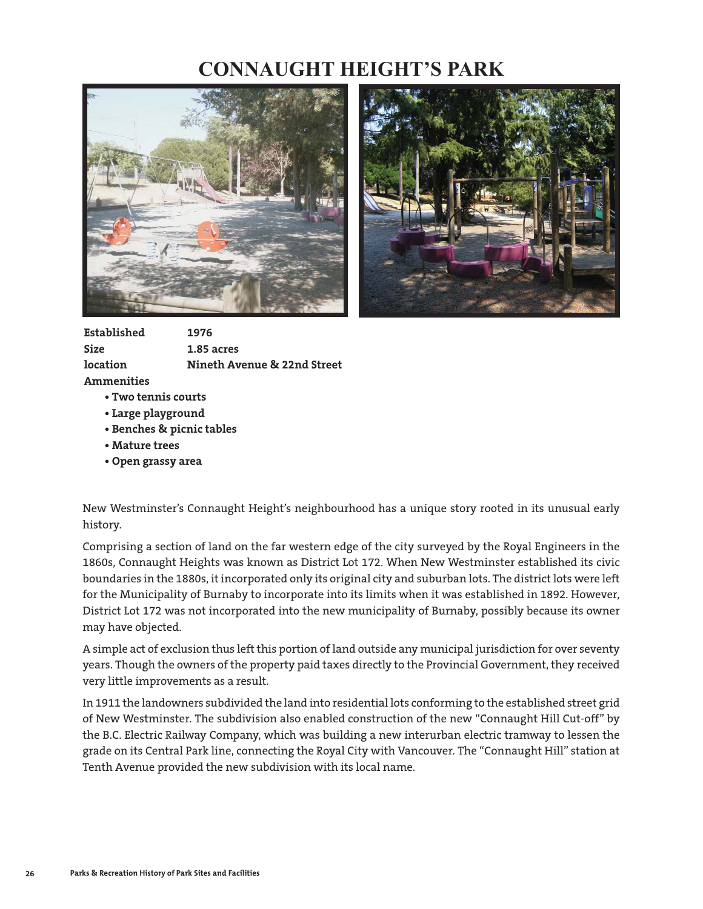## **CONNAUGHT HEIGHT'S PARK**





**Established 1976 Size 1.85 acres location Nineth Avenue & 22nd Street Ammenities** 

- **Two tennis courts**
- **Large playground**
- **Benches & picnic tables**
- **Mature trees**
- **Open grassy area**

New Westminster's Connaught Height's neighbourhood has a unique story rooted in its unusual early history.

Comprising a section of land on the far western edge of the city surveyed by the Royal Engineers in the 1860s, Connaught Heights was known as District Lot 172. When New Westminster established its civic boundaries in the 1880s, it incorporated only its original city and suburban lots. The district lots were left for the Municipality of Burnaby to incorporate into its limits when it was established in 1892. However, District Lot 172 was not incorporated into the new municipality of Burnaby, possibly because its owner may have objected.

A simple act of exclusion thus left this portion of land outside any municipal jurisdiction for over seventy years. Though the owners of the property paid taxes directly to the Provincial Government, they received very little improvements as a result.

In 1911 the landowners subdivided the land into residential lots conforming to the established street grid of New Westminster. The subdivision also enabled construction of the new "Connaught Hill Cut-off" by the B.C. Electric Railway Company, which was building a new interurban electric tramway to lessen the grade on its Central Park line, connecting the Royal City with Vancouver. The "Connaught Hill" station at Tenth Avenue provided the new subdivision with its local name.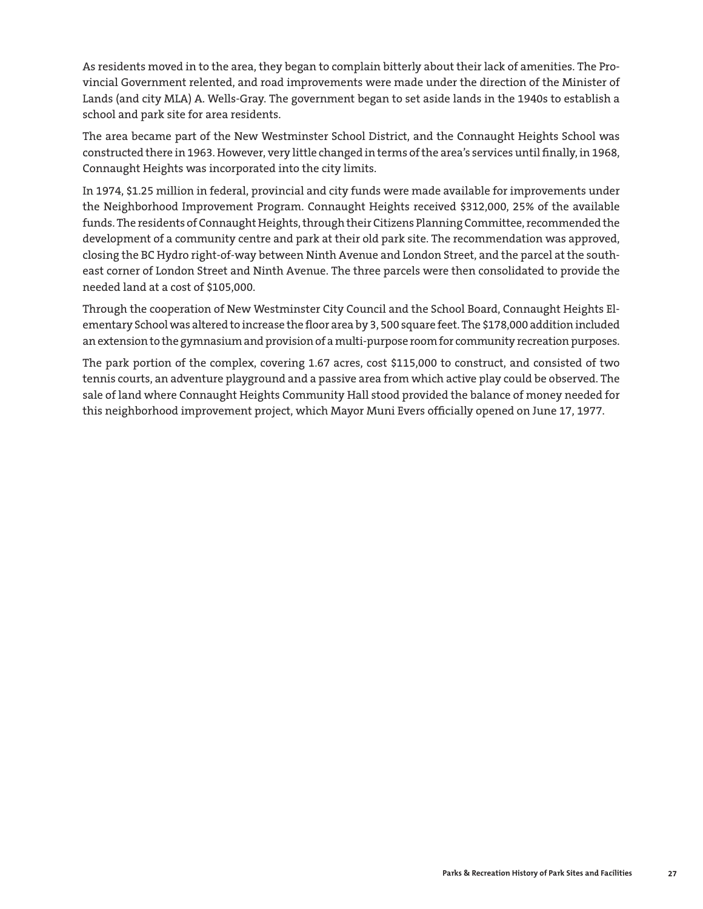As residents moved in to the area, they began to complain bitterly about their lack of amenities. The Provincial Government relented, and road improvements were made under the direction of the Minister of Lands (and city MLA) A. Wells-Gray. The government began to set aside lands in the 1940s to establish a school and park site for area residents.

The area became part of the New Westminster School District, and the Connaught Heights School was constructed there in 1963. However, very little changed in terms of the area's services until finally, in 1968, Connaught Heights was incorporated into the city limits.

In 1974, \$1.25 million in federal, provincial and city funds were made available for improvements under the Neighborhood Improvement Program. Connaught Heights received \$312,000, 25% of the available funds. The residents of Connaught Heights, through their Citizens Planning Committee, recommended the development of a community centre and park at their old park site. The recommendation was approved, closing the BC Hydro right-of-way between Ninth Avenue and London Street, and the parcel at the southeast corner of London Street and Ninth Avenue. The three parcels were then consolidated to provide the needed land at a cost of \$105,000.

Through the cooperation of New Westminster City Council and the School Board, Connaught Heights Elementary School was altered to increase the floor area by 3, 500 square feet. The \$178,000 addition included an extension to the gymnasium and provision of a multi-purpose room for community recreation purposes.

The park portion of the complex, covering 1.67 acres, cost \$115,000 to construct, and consisted of two tennis courts, an adventure playground and a passive area from which active play could be observed. The sale of land where Connaught Heights Community Hall stood provided the balance of money needed for this neighborhood improvement project, which Mayor Muni Evers officially opened on June 17, 1977.